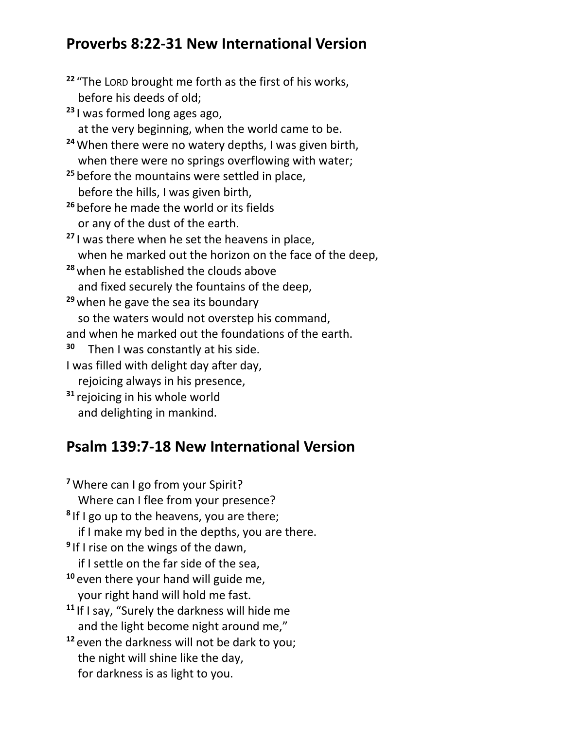## **Proverbs 8:22-31 New International Version**

**<sup>22</sup>** "The LORD brought me forth as the first of his works, before his deeds of old; **<sup>23</sup>** I was formed long ages ago, at the very beginning, when the world came to be. **<sup>24</sup>**When there were no watery depths, I was given birth, when there were no springs overflowing with water; <sup>25</sup> before the mountains were settled in place, before the hills, I was given birth, **<sup>26</sup>** before he made the world or its fields or any of the dust of the earth. **<sup>27</sup>** I was there when he set the heavens in place, when he marked out the horizon on the face of the deep, **<sup>28</sup>** when he established the clouds above and fixed securely the fountains of the deep, **<sup>29</sup>** when he gave the sea its boundary so the waters would not overstep his command, and when he marked out the foundations of the earth. **30** Then I was constantly at his side. I was filled with delight day after day, rejoicing always in his presence, **<sup>31</sup>** rejoicing in his whole world and delighting in mankind.

## **Psalm 139:7-18 New International Version**

**<sup>7</sup>**Where can I go from your Spirit? Where can I flee from your presence? **8** If I go up to the heavens, you are there; if I make my bed in the depths, you are there. **9** If I rise on the wings of the dawn, if I settle on the far side of the sea, **<sup>10</sup>** even there your hand will guide me, your right hand will hold me fast. **<sup>11</sup>** If I say, "Surely the darkness will hide me and the light become night around me," **<sup>12</sup>** even the darkness will not be dark to you; the night will shine like the day,

for darkness is as light to you.